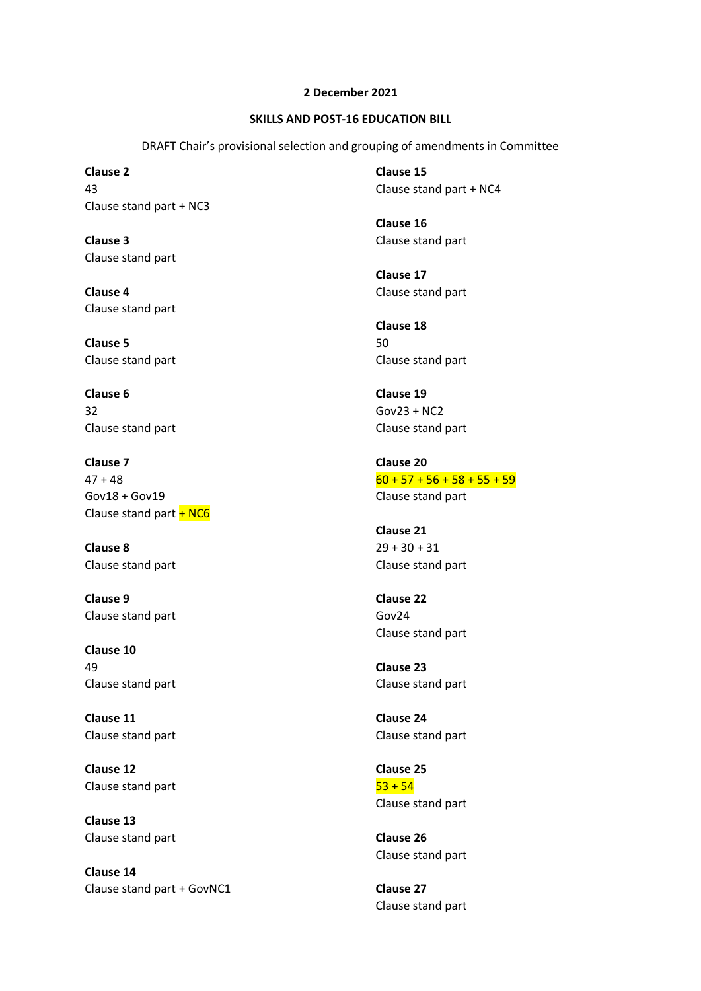## **2 December 2021**

## **SKILLS AND POST-16 EDUCATION BILL**

DRAFT Chair's provisional selection and grouping of amendments in Committee

**Clause 2** 43 Clause stand part + NC3

**Clause 3** Clause stand part

**Clause 4** Clause stand part

**Clause 5** Clause stand part

**Clause 6** 32 Clause stand part

**Clause 7**  $47 + 48$ Gov18 + Gov19 Clause stand part  $+$  NC6

**Clause 8** Clause stand part

**Clause 9** Clause stand part

**Clause 10** 49 Clause stand part

**Clause 11** Clause stand part

**Clause 12** Clause stand part

**Clause 13** Clause stand part

**Clause 14** Clause stand part + GovNC1 **Clause 15** Clause stand part + NC4

**Clause 16** Clause stand part

**Clause 17** Clause stand part

**Clause 18** 50 Clause stand part

**Clause 19** Gov23 + NC2 Clause stand part

**Clause 20**  $60 + 57 + 56 + 58 + 55 + 59$ Clause stand part

**Clause 21**  $29 + 30 + 31$ Clause stand part

**Clause 22** Gov24 Clause stand part

**Clause 23** Clause stand part

**Clause 24** Clause stand part

**Clause 25**  $53 + 54$ Clause stand part

**Clause 26** Clause stand part

**Clause 27** Clause stand part